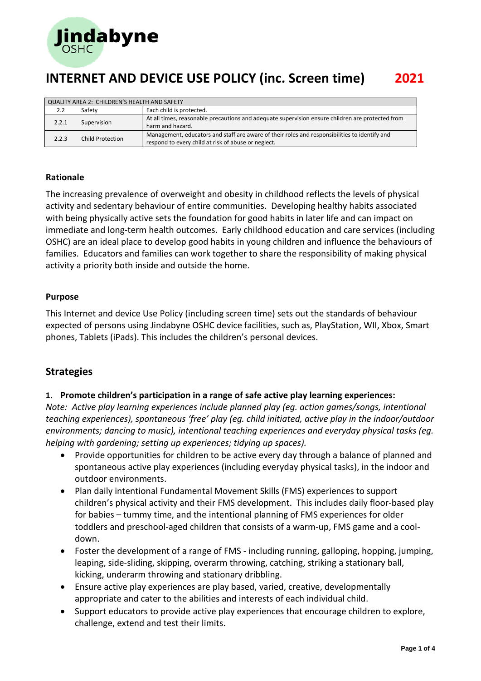

| QUALITY AREA 2: CHILDREN'S HEALTH AND SAFETY |                  |                                                                                                                                                      |  |  |
|----------------------------------------------|------------------|------------------------------------------------------------------------------------------------------------------------------------------------------|--|--|
| 2.2                                          | Safety           | Each child is protected.                                                                                                                             |  |  |
| 2.2.1                                        | Supervision      | At all times, reasonable precautions and adequate supervision ensure children are protected from<br>harm and hazard.                                 |  |  |
| 2.2.3                                        | Child Protection | Management, educators and staff are aware of their roles and responsibilities to identify and<br>respond to every child at risk of abuse or neglect. |  |  |

### **Rationale**

The increasing prevalence of overweight and obesity in childhood reflects the levels of physical activity and sedentary behaviour of entire communities. Developing healthy habits associated with being physically active sets the foundation for good habits in later life and can impact on immediate and long-term health outcomes. Early childhood education and care services (including OSHC) are an ideal place to develop good habits in young children and influence the behaviours of families. Educators and families can work together to share the responsibility of making physical activity a priority both inside and outside the home.

### **Purpose**

This Internet and device Use Policy (including screen time) sets out the standards of behaviour expected of persons using Jindabyne OSHC device facilities, such as, PlayStation, WII, Xbox, Smart phones, Tablets (iPads). This includes the children's personal devices.

### **Strategies**

### **1. Promote children's participation in a range of safe active play learning experiences:**

*Note: Active play learning experiences include planned play (eg. action games/songs, intentional teaching experiences), spontaneous 'free' play (eg. child initiated, active play in the indoor/outdoor environments; dancing to music), intentional teaching experiences and everyday physical tasks (eg. helping with gardening; setting up experiences; tidying up spaces).*

- Provide opportunities for children to be active every day through a balance of planned and spontaneous active play experiences (including everyday physical tasks), in the indoor and outdoor environments.
- Plan daily intentional Fundamental Movement Skills (FMS) experiences to support children's physical activity and their FMS development. This includes daily floor-based play for babies – tummy time, and the intentional planning of FMS experiences for older toddlers and preschool-aged children that consists of a warm-up, FMS game and a cooldown.
- Foster the development of a range of FMS including running, galloping, hopping, jumping, leaping, side-sliding, skipping, overarm throwing, catching, striking a stationary ball, kicking, underarm throwing and stationary dribbling.
- Ensure active play experiences are play based, varied, creative, developmentally appropriate and cater to the abilities and interests of each individual child.
- Support educators to provide active play experiences that encourage children to explore, challenge, extend and test their limits.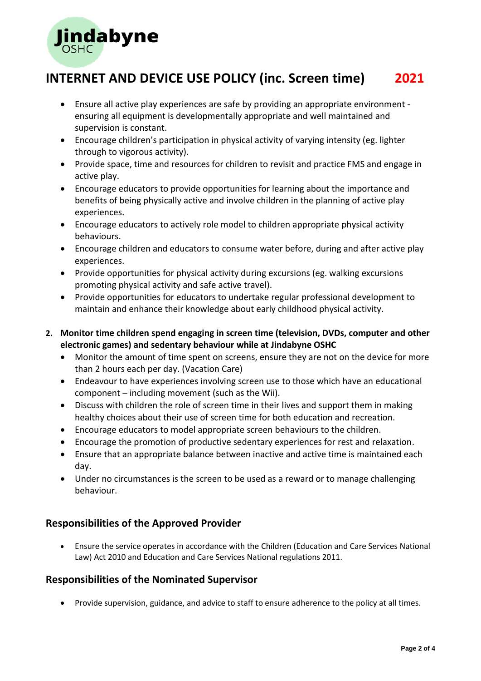

- Ensure all active play experiences are safe by providing an appropriate environment ensuring all equipment is developmentally appropriate and well maintained and supervision is constant.
- Encourage children's participation in physical activity of varying intensity (eg. lighter through to vigorous activity).
- Provide space, time and resources for children to revisit and practice FMS and engage in active play.
- Encourage educators to provide opportunities for learning about the importance and benefits of being physically active and involve children in the planning of active play experiences.
- Encourage educators to actively role model to children appropriate physical activity behaviours.
- Encourage children and educators to consume water before, during and after active play experiences.
- Provide opportunities for physical activity during excursions (eg. walking excursions promoting physical activity and safe active travel).
- Provide opportunities for educators to undertake regular professional development to maintain and enhance their knowledge about early childhood physical activity.
- **2. Monitor time children spend engaging in screen time (television, DVDs, computer and other electronic games) and sedentary behaviour while at Jindabyne OSHC**
	- Monitor the amount of time spent on screens, ensure they are not on the device for more than 2 hours each per day. (Vacation Care)
	- Endeavour to have experiences involving screen use to those which have an educational component – including movement (such as the Wii).
	- Discuss with children the role of screen time in their lives and support them in making healthy choices about their use of screen time for both education and recreation.
	- Encourage educators to model appropriate screen behaviours to the children.
	- Encourage the promotion of productive sedentary experiences for rest and relaxation.
	- Ensure that an appropriate balance between inactive and active time is maintained each day.
	- Under no circumstances is the screen to be used as a reward or to manage challenging behaviour.

## **Responsibilities of the Approved Provider**

• Ensure the service operates in accordance with the Children (Education and Care Services National Law) Act 2010 and Education and Care Services National regulations 2011.

## **Responsibilities of the Nominated Supervisor**

• Provide supervision, guidance, and advice to staff to ensure adherence to the policy at all times.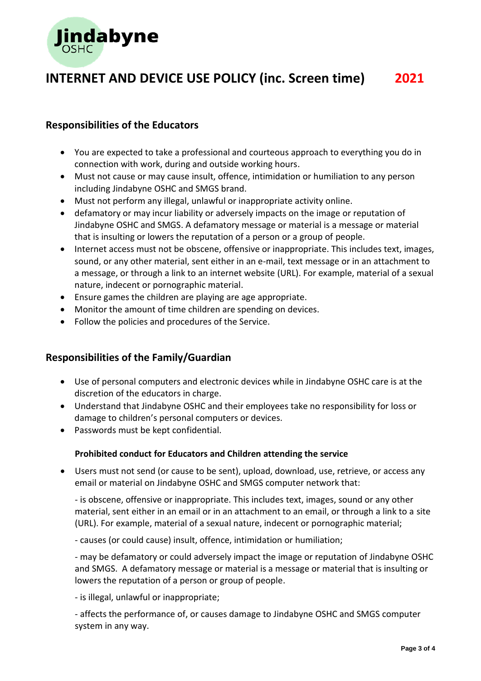

## **Responsibilities of the Educators**

- You are expected to take a professional and courteous approach to everything you do in connection with work, during and outside working hours.
- Must not cause or may cause insult, offence, intimidation or humiliation to any person including Jindabyne OSHC and SMGS brand.
- Must not perform any illegal, unlawful or inappropriate activity online.
- defamatory or may incur liability or adversely impacts on the image or reputation of Jindabyne OSHC and SMGS. A defamatory message or material is a message or material that is insulting or lowers the reputation of a person or a group of people.
- Internet access must not be obscene, offensive or inappropriate. This includes text, images, sound, or any other material, sent either in an e-mail, text message or in an attachment to a message, or through a link to an internet website (URL). For example, material of a sexual nature, indecent or pornographic material.
- Ensure games the children are playing are age appropriate.
- Monitor the amount of time children are spending on devices.
- Follow the policies and procedures of the Service.

## **Responsibilities of the Family/Guardian**

- Use of personal computers and electronic devices while in Jindabyne OSHC care is at the discretion of the educators in charge.
- Understand that Jindabyne OSHC and their employees take no responsibility for loss or damage to children's personal computers or devices.
- Passwords must be kept confidential.

### **Prohibited conduct for Educators and Children attending the service**

• Users must not send (or cause to be sent), upload, download, use, retrieve, or access any email or material on Jindabyne OSHC and SMGS computer network that:

- is obscene, offensive or inappropriate. This includes text, images, sound or any other material, sent either in an email or in an attachment to an email, or through a link to a site (URL). For example, material of a sexual nature, indecent or pornographic material;

- causes (or could cause) insult, offence, intimidation or humiliation;

- may be defamatory or could adversely impact the image or reputation of Jindabyne OSHC and SMGS. A defamatory message or material is a message or material that is insulting or lowers the reputation of a person or group of people.

- is illegal, unlawful or inappropriate;

- affects the performance of, or causes damage to Jindabyne OSHC and SMGS computer system in any way.